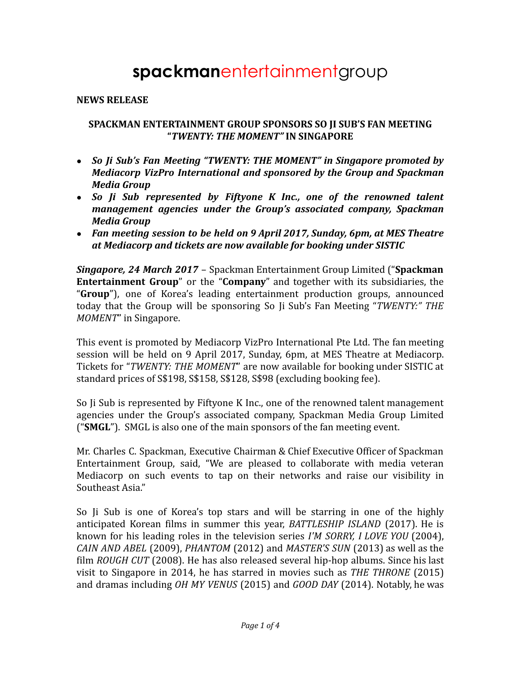# **spackman**entertainmentgroup

#### **NEWS RELEASE**

#### **SPACKMAN ENTERTAINMENT GROUP SPONSORS SO JI SUB'S FAN MEETING "***TWENTY: THE MOMENT"* **IN SINGAPORE**

- *So Ji Sub's Fan Meeting "TWENTY: THE MOMENT" in Singapore promoted by Mediacorp VizPro International and sponsored by the Group and Spackman Media Group*
- *So Ji Sub represented by Fiftyone K Inc., one of the renowned talent management agencies under the Group's associated company, Spackman Media Group*
- *Fan meeting session to be held on 9 April 2017, Sunday, 6pm, at MES Theatre at Mediacorp and tickets are now available for booking under SISTIC*

*Singapore, 24 March 2017* – Spackman Entertainment Group Limited ("**Spackman Entertainment Group**" or the "**Company**" and together with its subsidiaries, the "**Group**"), one of Korea's leading entertainment production groups, announced today that the Group will be sponsoring So Ji Sub's Fan Meeting "*TWENTY:" THE MOMENT*" in Singapore.

This event is promoted by Mediacorp VizPro International Pte Ltd. The fan meeting session will be held on 9 April 2017, Sunday, 6pm, at MES Theatre at Mediacorp. Tickets for "*TWENTY: THE MOMENT*" are now available for booking under SISTIC at standard prices of S\$198, S\$158, S\$128, S\$98 (excluding booking fee).

So Ji Sub is represented by Fiftyone K Inc., one of the renowned talent management agencies under the Group's associated company, Spackman Media Group Limited ("**SMGL**"). SMGL is also one of the main sponsors of the fan meeting event.

Mr. Charles C. Spackman, Executive Chairman & Chief Executive Officer of Spackman Entertainment Group, said, "We are pleased to collaborate with media veteran Mediacorp on such events to tap on their networks and raise our visibility in Southeast Asia."

So Ji Sub is one of Korea's top stars and will be starring in one of the highly anticipated Korean films in summer this year, *BATTLESHIP ISLAND* (2017). He is known for his leading roles in the television series *I'M SORRY, I LOVE YOU* (2004), *CAIN AND ABEL* (2009), *PHANTOM* (2012) and *MASTER'S SUN* (2013) as well as the film *ROUGH CUT* (2008). He has also released several hip-hop albums. Since his last visit to Singapore in 2014, he has starred in movies such as *THE THRONE* (2015) and dramas including *OH MY VENUS* (2015) and *GOOD DAY* (2014). Notably, he was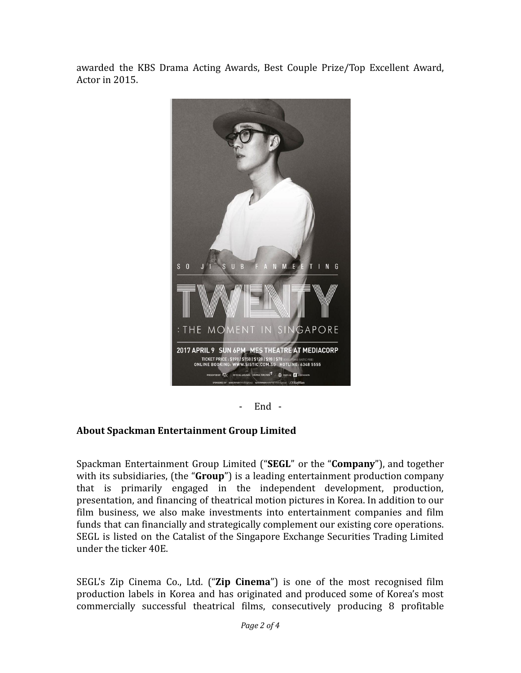awarded the KBS Drama Acting Awards, Best Couple Prize/Top Excellent Award, Actor in 2015.



- End -

## **About Spackman Entertainment Group Limited**

Spackman Entertainment Group Limited ("**SEGL**" or the "**Company**"), and together with its subsidiaries, (the "**Group**") is a leading entertainment production company that is primarily engaged in the independent development, production, presentation, and financing of theatrical motion pictures in Korea. In addition to our film business, we also make investments into entertainment companies and film funds that can financially and strategically complement our existing core operations. SEGL is listed on the Catalist of the Singapore Exchange Securities Trading Limited under the ticker 40E.

SEGL's Zip Cinema Co., Ltd. ("**Zip Cinema**") is one of the most recognised film production labels in Korea and has originated and produced some of Korea's most commercially successful theatrical films, consecutively producing 8 profitable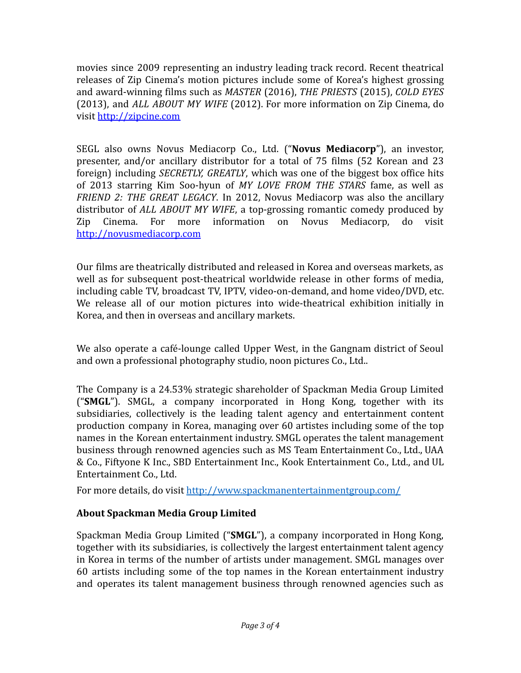movies since 2009 representing an industry leading track record. Recent theatrical releases of Zip Cinema's motion pictures include some of Korea's highest grossing and award-winning films such as *MASTER* (2016), *THE PRIESTS* (2015), *COLD EYES* (2013), and *ALL ABOUT MY WIFE* (2012). For more information on Zip Cinema, do visit <http://zipcine.com>

SEGL also owns Novus Mediacorp Co., Ltd. ("**Novus Mediacorp**"), an investor, presenter, and/or ancillary distributor for a total of 75 films (52 Korean and 23 foreign) including *SECRETLY, GREATLY*, which was one of the biggest box office hits of 2013 starring Kim Soo-hyun of *MY LOVE FROM THE STARS* fame, as well as *FRIEND 2: THE GREAT LEGACY*. In 2012, Novus Mediacorp was also the ancillary distributor of *ALL ABOUT MY WIFE*, a top-grossing romantic comedy produced by Zip Cinema. For more information on Novus Mediacorp, do visit <http://novusmediacorp.com>

Our films are theatrically distributed and released in Korea and overseas markets, as well as for subsequent post-theatrical worldwide release in other forms of media, including cable TV, broadcast TV, IPTV, video-on-demand, and home video/DVD, etc. We release all of our motion pictures into wide-theatrical exhibition initially in Korea, and then in overseas and ancillary markets.

We also operate a café-lounge called Upper West, in the Gangnam district of Seoul and own a professional photography studio, noon pictures Co., Ltd..

The Company is a 24.53% strategic shareholder of Spackman Media Group Limited ("**SMGL**"). SMGL, a company incorporated in Hong Kong, together with its subsidiaries, collectively is the leading talent agency and entertainment content production company in Korea, managing over 60 artistes including some of the top names in the Korean entertainment industry. SMGL operates the talent management business through renowned agencies such as MS Team Entertainment Co., Ltd., UAA & Co., Fiftyone K Inc., SBD Entertainment Inc., Kook Entertainment Co., Ltd., and UL Entertainment Co., Ltd.

For more details, do visit <http://www.spackmanentertainmentgroup.com/>

## **About Spackman Media Group Limited**

Spackman Media Group Limited ("**SMGL**"), a company incorporated in Hong Kong, together with its subsidiaries, is collectively the largest entertainment talent agency in Korea in terms of the number of artists under management. SMGL manages over 60 artists including some of the top names in the Korean entertainment industry and operates its talent management business through renowned agencies such as